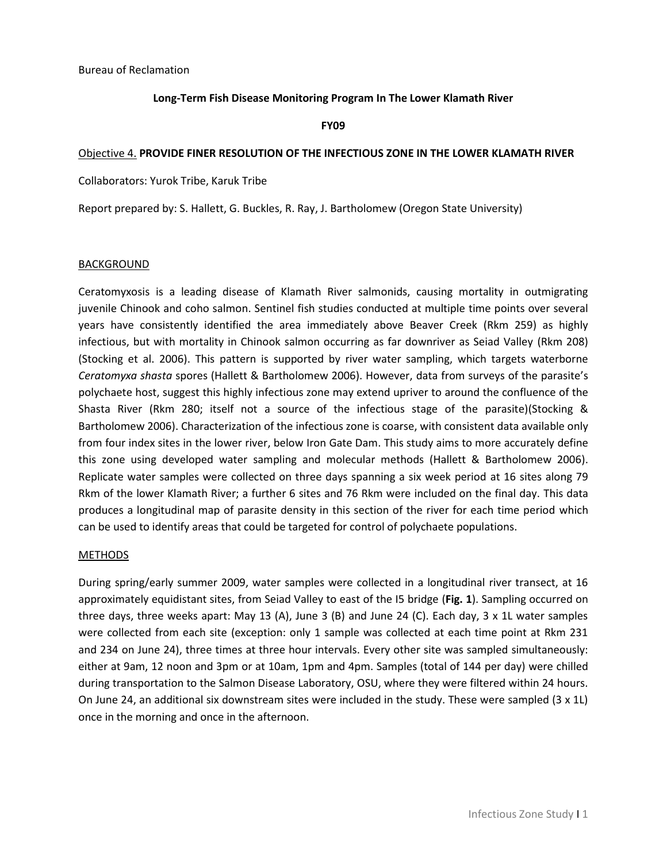### **Long-Term Fish Disease Monitoring Program In The Lower Klamath River**

**FY09**

#### Objective 4. **PROVIDE FINER RESOLUTION OF THE INFECTIOUS ZONE IN THE LOWER KLAMATH RIVER**

Collaborators: Yurok Tribe, Karuk Tribe

Report prepared by: S. Hallett, G. Buckles, R. Ray, J. Bartholomew (Oregon State University)

#### BACKGROUND

Ceratomyxosis is a leading disease of Klamath River salmonids, causing mortality in outmigrating juvenile Chinook and coho salmon. Sentinel fish studies conducted at multiple time points over several years have consistently identified the area immediately above Beaver Creek (Rkm 259) as highly infectious, but with mortality in Chinook salmon occurring as far downriver as Seiad Valley (Rkm 208) (Stocking et al. 2006). This pattern is supported by river water sampling, which targets waterborne *Ceratomyxa shasta* spores (Hallett & Bartholomew 2006). However, data from surveys of the parasite's polychaete host, suggest this highly infectious zone may extend upriver to around the confluence of the Shasta River (Rkm 280; itself not a source of the infectious stage of the parasite)(Stocking & Bartholomew 2006). Characterization of the infectious zone is coarse, with consistent data available only from four index sites in the lower river, below Iron Gate Dam. This study aims to more accurately define this zone using developed water sampling and molecular methods (Hallett & Bartholomew 2006). Replicate water samples were collected on three days spanning a six week period at 16 sites along 79 Rkm of the lower Klamath River; a further 6 sites and 76 Rkm were included on the final day. This data produces a longitudinal map of parasite density in this section of the river for each time period which can be used to identify areas that could be targeted for control of polychaete populations.

#### **METHODS**

During spring/early summer 2009, water samples were collected in a longitudinal river transect, at 16 approximately equidistant sites, from Seiad Valley to east of the I5 bridge (**Fig. 1**). Sampling occurred on three days, three weeks apart: May 13 (A), June 3 (B) and June 24 (C). Each day, 3 x 1L water samples were collected from each site (exception: only 1 sample was collected at each time point at Rkm 231 and 234 on June 24), three times at three hour intervals. Every other site was sampled simultaneously: either at 9am, 12 noon and 3pm or at 10am, 1pm and 4pm. Samples (total of 144 per day) were chilled during transportation to the Salmon Disease Laboratory, OSU, where they were filtered within 24 hours. On June 24, an additional six downstream sites were included in the study. These were sampled  $(3 \times 11)$ once in the morning and once in the afternoon.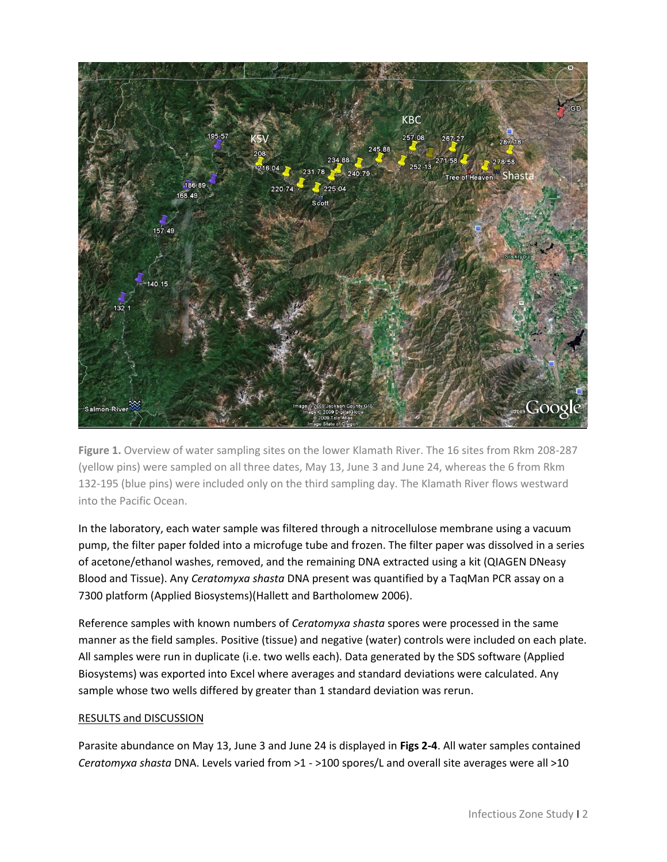

**Figure 1.** Overview of water sampling sites on the lower Klamath River. The 16 sites from Rkm 208-287 (yellow pins) were sampled on all three dates, May 13, June 3 and June 24, whereas the 6 from Rkm 132-195 (blue pins) were included only on the third sampling day. The Klamath River flows westward into the Pacific Ocean.

In the laboratory, each water sample was filtered through a nitrocellulose membrane using a vacuum pump, the filter paper folded into a microfuge tube and frozen. The filter paper was dissolved in a series of acetone/ethanol washes, removed, and the remaining DNA extracted using a kit (QIAGEN DNeasy Blood and Tissue). Any *Ceratomyxa shasta* DNA present was quantified by a TaqMan PCR assay on a 7300 platform (Applied Biosystems)(Hallett and Bartholomew 2006).

Reference samples with known numbers of *Ceratomyxa shasta* spores were processed in the same manner as the field samples. Positive (tissue) and negative (water) controls were included on each plate. All samples were run in duplicate (i.e. two wells each). Data generated by the SDS software (Applied Biosystems) was exported into Excel where averages and standard deviations were calculated. Any sample whose two wells differed by greater than 1 standard deviation was rerun.

## RESULTS and DISCUSSION

Parasite abundance on May 13, June 3 and June 24 is displayed in **Figs 2-4**. All water samples contained *Ceratomyxa shasta* DNA. Levels varied from >1 - >100 spores/L and overall site averages were all >10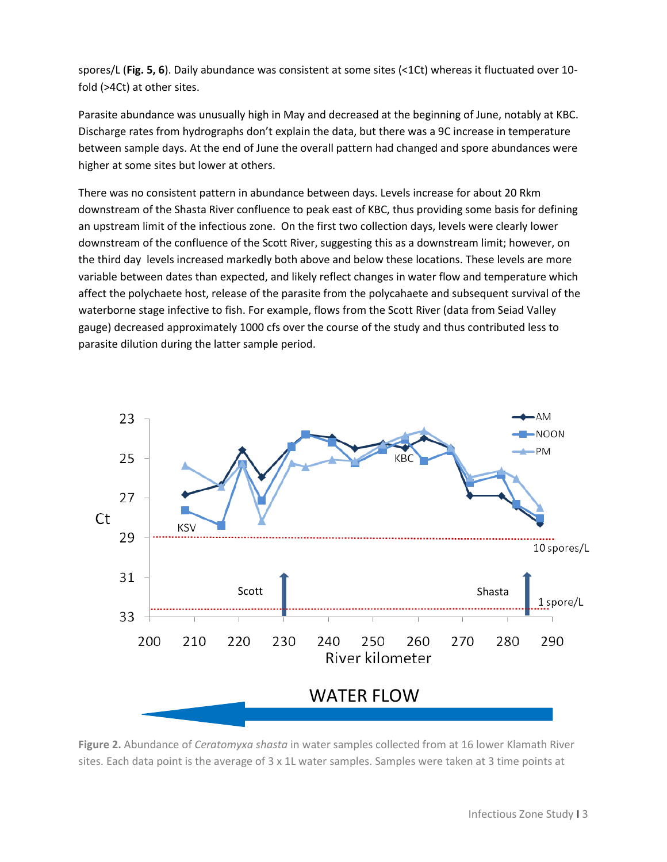spores/L (**Fig. 5, 6**). Daily abundance was consistent at some sites (<1Ct) whereas it fluctuated over 10 fold (>4Ct) at other sites.

Parasite abundance was unusually high in May and decreased at the beginning of June, notably at KBC. Discharge rates from hydrographs don't explain the data, but there was a 9C increase in temperature between sample days. At the end of June the overall pattern had changed and spore abundances were higher at some sites but lower at others.

There was no consistent pattern in abundance between days. Levels increase for about 20 Rkm downstream of the Shasta River confluence to peak east of KBC, thus providing some basis for defining an upstream limit of the infectious zone. On the first two collection days, levels were clearly lower downstream of the confluence of the Scott River, suggesting this as a downstream limit; however, on the third day levels increased markedly both above and below these locations. These levels are more variable between dates than expected, and likely reflect changes in water flow and temperature which affect the polychaete host, release of the parasite from the polycahaete and subsequent survival of the waterborne stage infective to fish. For example, flows from the Scott River (data from Seiad Valley gauge) decreased approximately 1000 cfs over the course of the study and thus contributed less to parasite dilution during the latter sample period.



**Figure 2.** Abundance of *Ceratomyxa shasta* in water samples collected from at 16 lower Klamath River sites. Each data point is the average of 3 x 1L water samples. Samples were taken at 3 time points at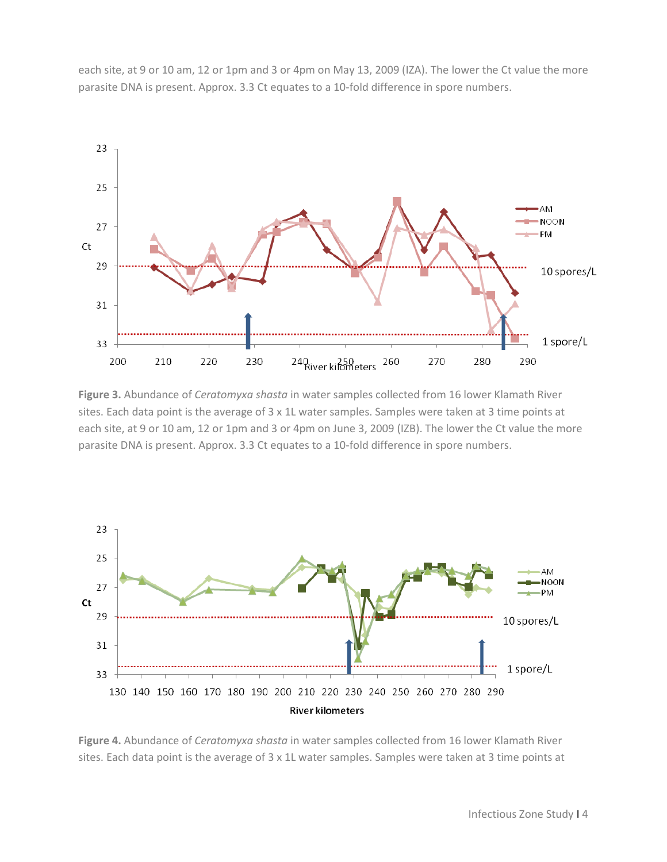each site, at 9 or 10 am, 12 or 1pm and 3 or 4pm on May 13, 2009 (IZA). The lower the Ct value the more parasite DNA is present. Approx. 3.3 Ct equates to a 10-fold difference in spore numbers.



**Figure 3.** Abundance of *Ceratomyxa shasta* in water samples collected from 16 lower Klamath River sites. Each data point is the average of 3 x 1L water samples. Samples were taken at 3 time points at each site, at 9 or 10 am, 12 or 1pm and 3 or 4pm on June 3, 2009 (IZB). The lower the Ct value the more parasite DNA is present. Approx. 3.3 Ct equates to a 10-fold difference in spore numbers.



**Figure 4.** Abundance of *Ceratomyxa shasta* in water samples collected from 16 lower Klamath River sites. Each data point is the average of 3 x 1L water samples. Samples were taken at 3 time points at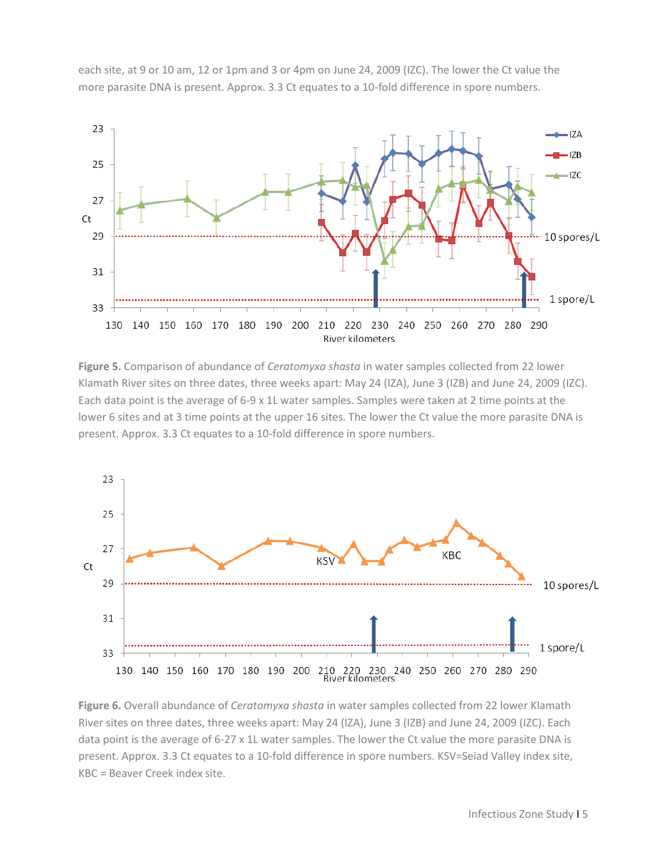each site, at 9 or 10 am, 12 or 1pm and 3 or 4pm on June 24, 2009 (IZC). The lower the Ct value the more parasite DNA is present. Approx. 3.3 Ct equates to a 10-fold difference in spore numbers.



**Figure 5.** Comparison of abundance of *Ceratomyxa shasta* in water samples collected from 22 lower Klamath River sites on three dates, three weeks apart: May 24 (IZA), June 3 (IZB) and June 24, 2009 (IZC). Each data point is the average of 6-9 x 1L water samples. Samples were taken at 2 time points at the lower 6 sites and at 3 time points at the upper 16 sites. The lower the Ct value the more parasite DNA is present. Approx. 3.3 Ct equates to a 10-fold difference in spore numbers.



**Figure 6.** Overall abundance of *Ceratomyxa shasta* in water samples collected from 22 lower Klamath River sites on three dates, three weeks apart: May 24 (IZA), June 3 (IZB) and June 24, 2009 (IZC). Each data point is the average of 6-27 x 1L water samples. The lower the Ct value the more parasite DNA is present. Approx. 3.3 Ct equates to a 10-fold difference in spore numbers. KSV=Seiad Valley index site, KBC = Beaver Creek index site.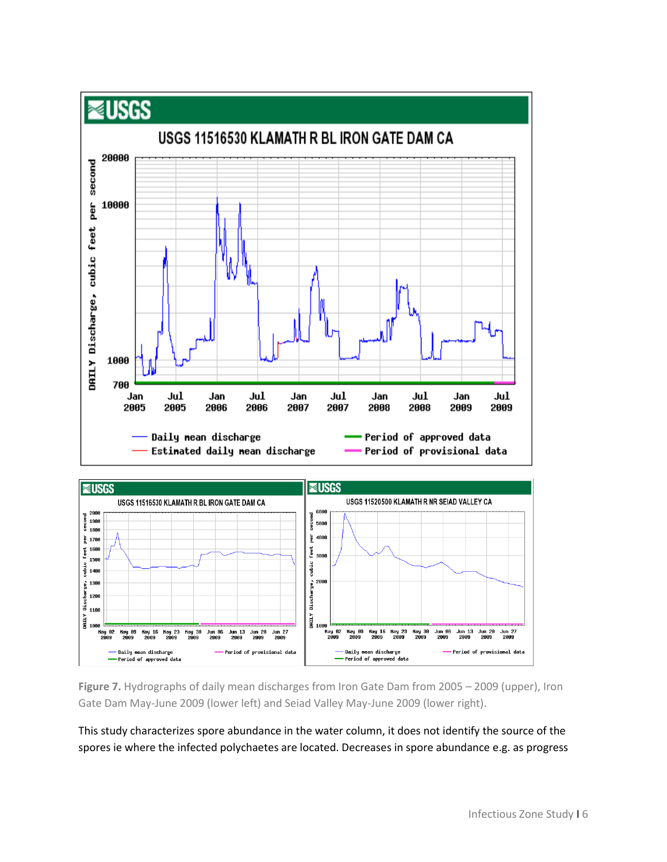



**Figure 7.** Hydrographs of daily mean discharges from Iron Gate Dam from 2005 – 2009 (upper), Iron Gate Dam May-June 2009 (lower left) and Seiad Valley May-June 2009 (lower right).

This study characterizes spore abundance in the water column, it does not identify the source of the spores ie where the infected polychaetes are located. Decreases in spore abundance e.g. as progress